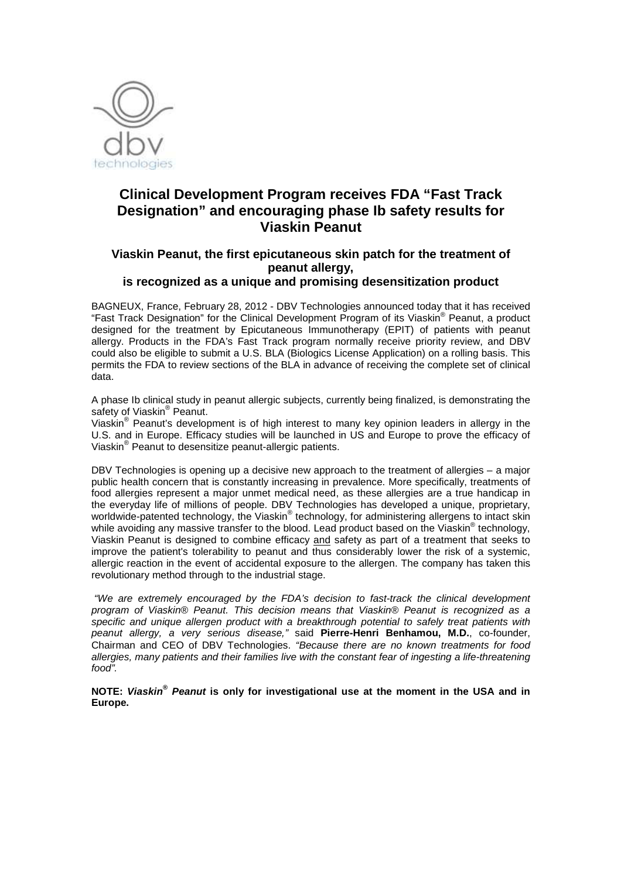

# **Clinical Development Program receives FDA "Fast Track Designation" and encouraging phase Ib safety results for Viaskin Peanut**

# **Viaskin Peanut, the first epicutaneous skin patch for the treatment of peanut allergy,**

## **is recognized as a unique and promising desensitization product**

BAGNEUX, France, February 28, 2012 - DBV Technologies announced today that it has received "Fast Track Designation" for the Clinical Development Program of its Viaskin® Peanut, a product designed for the treatment by Epicutaneous Immunotherapy (EPIT) of patients with peanut allergy. Products in the FDA's Fast Track program normally receive priority review, and DBV could also be eligible to submit a U.S. BLA (Biologics License Application) on a rolling basis. This permits the FDA to review sections of the BLA in advance of receiving the complete set of clinical data.

A phase Ib clinical study in peanut allergic subjects, currently being finalized, is demonstrating the safety of Viaskin® Peanut.

Viaskin® Peanut's development is of high interest to many key opinion leaders in allergy in the U.S. and in Europe. Efficacy studies will be launched in US and Europe to prove the efficacy of Viaskin® Peanut to desensitize peanut-allergic patients.

DBV Technologies is opening up a decisive new approach to the treatment of allergies – a major public health concern that is constantly increasing in prevalence. More specifically, treatments of food allergies represent a major unmet medical need, as these allergies are a true handicap in the everyday life of millions of people. DBV Technologies has developed a unique, proprietary, worldwide-patented technology, the Viaskin® technology, for administering allergens to intact skin while avoiding any massive transfer to the blood. Lead product based on the Viaskin® technology, Viaskin Peanut is designed to combine efficacy and safety as part of a treatment that seeks to improve the patient's tolerability to peanut and thus considerably lower the risk of a systemic, allergic reaction in the event of accidental exposure to the allergen. The company has taken this revolutionary method through to the industrial stage.

 "We are extremely encouraged by the FDA's decision to fast-track the clinical development program of Viaskin® Peanut. This decision means that Viaskin® Peanut is recognized as a specific and unique allergen product with a breakthrough potential to safely treat patients with peanut allergy, a very serious disease," said Pierre-Henri Benhamou, M.D., co-founder, Chairman and CEO of DBV Technologies. "Because there are no known treatments for food allergies, many patients and their families live with the constant fear of ingesting a life-threatening food".

### **NOTE: Viaskin® Peanut is only for investigational use at the moment in the USA and in Europe.**